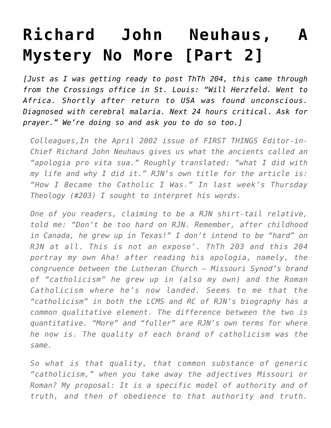## **[Richard John Neuhaus, A](https://crossings.org/richard-john-neuhaus-a-mystery-no-more-part-2/) [Mystery No More \[Part 2\]](https://crossings.org/richard-john-neuhaus-a-mystery-no-more-part-2/)**

*[Just as I was getting ready to post ThTh 204, this came through from the Crossings office in St. Louis: "Will Herzfeld. Went to Africa. Shortly after return to USA was found unconscious. Diagnosed with cerebral malaria. Next 24 hours critical. Ask for prayer." We're doing so and ask you to do so too.]*

*Colleagues,In the April 2002 issue of FIRST THINGS Editor-in-Chief Richard John Neuhaus gives us what the ancients called an "apologia pro vita sua." Roughly translated: "what I did with my life and why I did it." RJN's own title for the article is: "How I Became the Catholic I Was." In last week's Thursday Theology (#203) I sought to interpret his words.*

*One of you readers, claiming to be a RJN shirt-tail relative, told me: "Don't be too hard on RJN. Remember, after childhood in Canada, he grew up in Texas!" I don't intend to be "hard" on RJN at all. This is not an expose'. ThTh 203 and this 204 portray my own Aha! after reading his apologia, namely, the congruence between the Lutheran Church – Missouri Synod's brand of "catholicism" he grew up in (also my own) and the Roman Catholicism where he's now landed. Seems to me that the "catholicism" in both the LCMS and RC of RJN's biography has a common qualitative element. The difference between the two is quantitative. "More" and "fuller" are RJN's own terms for where he now is. The quality of each brand of catholicism was the same.*

*So what is that quality, that common substance of generic "catholicism," when you take away the adjectives Missouri or Roman? My proposal: It is a specific model of authority and of truth, and then of obedience to that authority and truth.*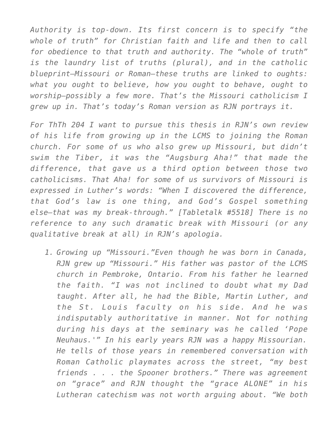*Authority is top-down. Its first concern is to specify "the whole of truth" for Christian faith and life and then to call for obedience to that truth and authority. The "whole of truth" is the laundry list of truths (plural), and in the catholic blueprint–Missouri or Roman–these truths are linked to oughts: what you ought to believe, how you ought to behave, ought to worship–possibly a few more. That's the Missouri catholicism I grew up in. That's today's Roman version as RJN portrays it.*

*For ThTh 204 I want to pursue this thesis in RJN's own review of his life from growing up in the LCMS to joining the Roman church. For some of us who also grew up Missouri, but didn't swim the Tiber, it was the "Augsburg Aha!" that made the difference, that gave us a third option between those two catholicisms. That Aha! for some of us survivors of Missouri is expressed in Luther's words: "When I discovered the difference, that God's law is one thing, and God's Gospel something else–that was my break-through." [Tabletalk #5518] There is no reference to any such dramatic break with Missouri (or any qualitative break at all) in RJN's apologia.*

*1. Growing up "Missouri."Even though he was born in Canada, RJN grew up "Missouri." His father was pastor of the LCMS church in Pembroke, Ontario. From his father he learned the faith. "I was not inclined to doubt what my Dad taught. After all, he had the Bible, Martin Luther, and the St. Louis faculty on his side. And he was indisputably authoritative in manner. Not for nothing during his days at the seminary was he called 'Pope Neuhaus.'" In his early years RJN was a happy Missourian. He tells of those years in remembered conversation with Roman Catholic playmates across the street, "my best friends . . . the Spooner brothers." There was agreement on "grace" and RJN thought the "grace ALONE" in his Lutheran catechism was not worth arguing about. "We both*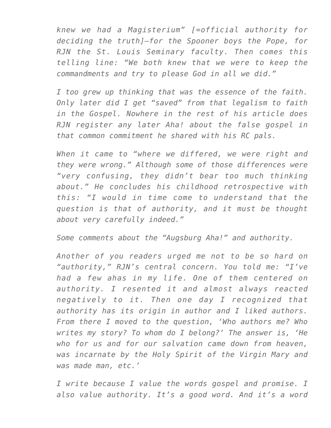*knew we had a Magisterium" [=official authority for deciding the truth]–for the Spooner boys the Pope, for RJN the St. Louis Seminary faculty. Then comes this telling line: "We both knew that we were to keep the commandments and try to please God in all we did."*

*I too grew up thinking that was the essence of the faith. Only later did I get "saved" from that legalism to faith in the Gospel. Nowhere in the rest of his article does RJN register any later Aha! about the false gospel in that common commitment he shared with his RC pals.*

*When it came to "where we differed, we were right and they were wrong." Although some of those differences were "very confusing, they didn't bear too much thinking about." He concludes his childhood retrospective with this: "I would in time come to understand that the question is that of authority, and it must be thought about very carefully indeed."*

*Some comments about the "Augsburg Aha!" and authority.*

*Another of you readers urged me not to be so hard on "authority," RJN's central concern. You told me: "I've had a few ahas in my life. One of them centered on authority. I resented it and almost always reacted negatively to it. Then one day I recognized that authority has its origin in author and I liked authors. From there I moved to the question, 'Who authors me? Who writes my story? To whom do I belong?' The answer is, 'He who for us and for our salvation came down from heaven, was incarnate by the Holy Spirit of the Virgin Mary and was made man, etc.'*

*I write because I value the words gospel and promise. I also value authority. It's a good word. And it's a word*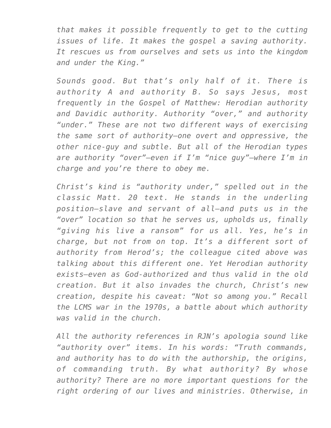*that makes it possible frequently to get to the cutting issues of life. It makes the gospel a saving authority. It rescues us from ourselves and sets us into the kingdom and under the King."*

*Sounds good. But that's only half of it. There is authority A and authority B. So says Jesus, most frequently in the Gospel of Matthew: Herodian authority and Davidic authority. Authority "over," and authority "under." These are not two different ways of exercising the same sort of authority–one overt and oppressive, the other nice-guy and subtle. But all of the Herodian types are authority "over"–even if I'm "nice guy"–where I'm in charge and you're there to obey me.*

*Christ's kind is "authority under," spelled out in the classic Matt. 20 text. He stands in the underling position–slave and servant of all–and puts us in the "over" location so that he serves us, upholds us, finally "giving his live a ransom" for us all. Yes, he's in charge, but not from on top. It's a different sort of authority from Herod's; the colleague cited above was talking about this different one. Yet Herodian authority exists–even as God-authorized and thus valid in the old creation. But it also invades the church, Christ's new creation, despite his caveat: "Not so among you." Recall the LCMS war in the 1970s, a battle about which authority was valid in the church.*

*All the authority references in RJN's apologia sound like "authority over" items. In his words: "Truth commands, and authority has to do with the authorship, the origins, of commanding truth. By what authority? By whose authority? There are no more important questions for the right ordering of our lives and ministries. Otherwise, in*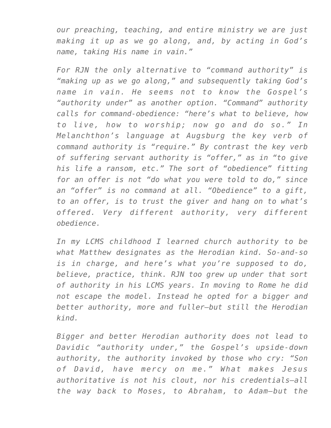*our preaching, teaching, and entire ministry we are just making it up as we go along, and, by acting in God's name, taking His name in vain."*

*For RJN the only alternative to "command authority" is "making up as we go along," and subsequently taking God's name in vain. He seems not to know the Gospel's "authority under" as another option. "Command" authority calls for command-obedience: "here's what to believe, how to live, how to worship; now go and do so." In Melanchthon's language at Augsburg the key verb of command authority is "require." By contrast the key verb of suffering servant authority is "offer," as in "to give his life a ransom, etc." The sort of "obedience" fitting for an offer is not "do what you were told to do," since an "offer" is no command at all. "Obedience" to a gift, to an offer, is to trust the giver and hang on to what's offered. Very different authority, very different obedience.*

*In my LCMS childhood I learned church authority to be what Matthew designates as the Herodian kind. So-and-so is in charge, and here's what you're supposed to do, believe, practice, think. RJN too grew up under that sort of authority in his LCMS years. In moving to Rome he did not escape the model. Instead he opted for a bigger and better authority, more and fuller–but still the Herodian kind.*

*Bigger and better Herodian authority does not lead to Davidic "authority under," the Gospel's upside-down authority, the authority invoked by those who cry: "Son of David, have mercy on me." What makes Jesus authoritative is not his clout, nor his credentials–all the way back to Moses, to Abraham, to Adam–but the*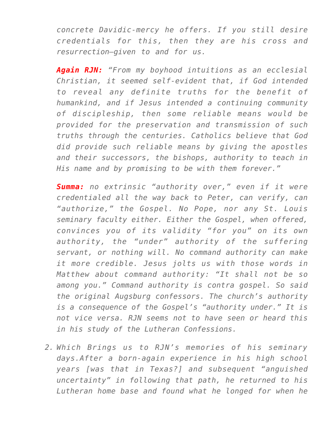*concrete Davidic-mercy he offers. If you still desire credentials for this, then they are his cross and resurrection–given to and for us.*

*Again RJN: "From my boyhood intuitions as an ecclesial Christian, it seemed self-evident that, if God intended to reveal any definite truths for the benefit of humankind, and if Jesus intended a continuing community of discipleship, then some reliable means would be provided for the preservation and transmission of such truths through the centuries. Catholics believe that God did provide such reliable means by giving the apostles and their successors, the bishops, authority to teach in His name and by promising to be with them forever."*

*Summa: no extrinsic "authority over," even if it were credentialed all the way back to Peter, can verify, can "authorize," the Gospel. No Pope, nor any St. Louis seminary faculty either. Either the Gospel, when offered, convinces you of its validity "for you" on its own authority, the "under" authority of the suffering servant, or nothing will. No command authority can make it more credible. Jesus jolts us with those words in Matthew about command authority: "It shall not be so among you." Command authority is contra gospel. So said the original Augsburg confessors. The church's authority is a consequence of the Gospel's "authority under." It is not vice versa. RJN seems not to have seen or heard this in his study of the Lutheran Confessions.*

*2. Which Brings us to RJN's memories of his seminary days.After a born-again experience in his high school years [was that in Texas?] and subsequent "anguished uncertainty" in following that path, he returned to his Lutheran home base and found what he longed for when he*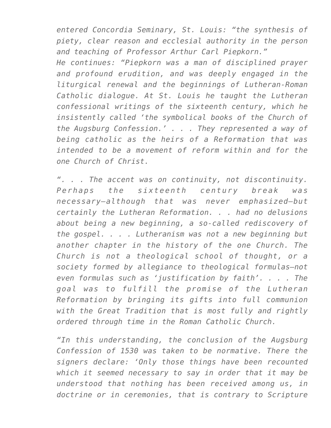*entered Concordia Seminary, St. Louis: "the synthesis of piety, clear reason and ecclesial authority in the person and teaching of Professor Arthur Carl Piepkorn."*

*He continues: "Piepkorn was a man of disciplined prayer and profound erudition, and was deeply engaged in the liturgical renewal and the beginnings of Lutheran-Roman Catholic dialogue. At St. Louis he taught the Lutheran confessional writings of the sixteenth century, which he insistently called 'the symbolical books of the Church of the Augsburg Confession.' . . . They represented a way of being catholic as the heirs of a Reformation that was intended to be a movement of reform within and for the one Church of Christ.*

*". . . The accent was on continuity, not discontinuity. Perhaps the sixteenth century break was necessary–although that was never emphasized–but certainly the Lutheran Reformation. . . had no delusions about being a new beginning, a so-called rediscovery of the gospel. . . . Lutheranism was not a new beginning but another chapter in the history of the one Church. The Church is not a theological school of thought, or a society formed by allegiance to theological formulas–not even formulas such as 'justification by faith'. . . . The goal was to fulfill the promise of the Lutheran Reformation by bringing its gifts into full communion with the Great Tradition that is most fully and rightly ordered through time in the Roman Catholic Church.*

*"In this understanding, the conclusion of the Augsburg Confession of 1530 was taken to be normative. There the signers declare: 'Only those things have been recounted which it seemed necessary to say in order that it may be understood that nothing has been received among us, in doctrine or in ceremonies, that is contrary to Scripture*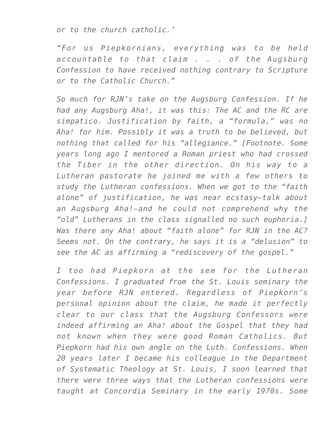*or to the church catholic.'*

*"For us Piepkornians, everything was to be held accountable to that claim . . . of the Augsburg Confession to have received nothing contrary to Scripture or to the Catholic Church."*

*So much for RJN's take on the Augsburg Confession. If he had any Augsburg Aha!, it was this: The AC and the RC are simpatico. Justification by faith, a "formula," was no Aha! for him. Possibly it was a truth to be believed, but nothing that called for his "allegiance." [Footnote. Some years long ago I mentored a Roman priest who had crossed the Tiber in the other direction. On his way to a Lutheran pastorate he joined me with a few others to study the Lutheran confessions. When we got to the "faith alone" of justification, he was near ecstasy–talk about an Augsburg Aha!–and he could not comprehend why the "old" Lutherans in the class signalled no such euphoria.] Was there any Aha! about "faith alone" for RJN in the AC? Seems not. On the contrary, he says it is a "delusion" to see the AC as affirming a "rediscovery of the gospel."*

*I too had Piepkorn at the sem for the Lutheran Confessions. I graduated from the St. Louis seminary the year before RJN entered. Regardless of Piepkorn's personal opinion about the claim, he made it perfectly clear to our class that the Augsburg Confessors were indeed affirming an Aha! about the Gospel that they had not known when they were good Roman Catholics. But Piepkorn had his own angle on the Luth. Confessions. When 20 years later I became his colleague in the Department of Systematic Theology at St. Louis, I soon learned that there were three ways that the Lutheran confessions were taught at Concordia Seminary in the early 1970s. Some*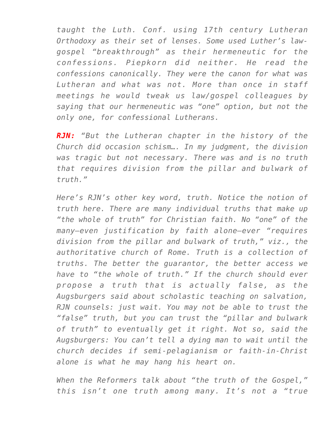*taught the Luth. Conf. using 17th century Lutheran Orthodoxy as their set of lenses. Some used Luther's lawgospel "breakthrough" as their hermeneutic for the confessions. Piepkorn did neither. He read the confessions canonically. They were the canon for what was Lutheran and what was not. More than once in staff meetings he would tweak us law/gospel colleagues by saying that our hermeneutic was "one" option, but not the only one, for confessional Lutherans.*

*RJN: "But the Lutheran chapter in the history of the Church did occasion schism…. In my judgment, the division was tragic but not necessary. There was and is no truth that requires division from the pillar and bulwark of truth."*

*Here's RJN's other key word, truth. Notice the notion of truth here. There are many individual truths that make up "the whole of truth" for Christian faith. No "one" of the many–even justification by faith alone–ever "requires division from the pillar and bulwark of truth," viz., the authoritative church of Rome. Truth is a collection of truths. The better the guarantor, the better access we have to "the whole of truth." If the church should ever propose a truth that is actually false, as the Augsburgers said about scholastic teaching on salvation, RJN counsels: just wait. You may not be able to trust the "false" truth, but you can trust the "pillar and bulwark of truth" to eventually get it right. Not so, said the Augsburgers: You can't tell a dying man to wait until the church decides if semi-pelagianism or faith-in-Christ alone is what he may hang his heart on.*

*When the Reformers talk about "the truth of the Gospel," this isn't one truth among many. It's not a "true*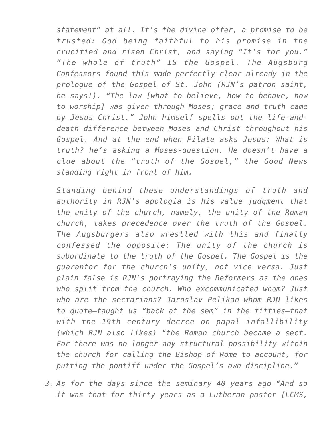*statement" at all. It's the divine offer, a promise to be trusted: God being faithful to his promise in the crucified and risen Christ, and saying "It's for you." "The whole of truth" IS the Gospel. The Augsburg Confessors found this made perfectly clear already in the prologue of the Gospel of St. John (RJN's patron saint, he says!). "The law [what to believe, how to behave, how to worship] was given through Moses; grace and truth came by Jesus Christ." John himself spells out the life-anddeath difference between Moses and Christ throughout his Gospel. And at the end when Pilate asks Jesus: What is truth? he's asking a Moses-question. He doesn't have a clue about the "truth of the Gospel," the Good News standing right in front of him.*

*Standing behind these understandings of truth and authority in RJN's apologia is his value judgment that the unity of the church, namely, the unity of the Roman church, takes precedence over the truth of the Gospel. The Augsburgers also wrestled with this and finally confessed the opposite: The unity of the church is subordinate to the truth of the Gospel. The Gospel is the guarantor for the church's unity, not vice versa. Just plain false is RJN's portraying the Reformers as the ones who split from the church. Who excommunicated whom? Just who are the sectarians? Jaroslav Pelikan–whom RJN likes to quote–taught us "back at the sem" in the fifties–that with the 19th century decree on papal infallibility (which RJN also likes) "the Roman church became a sect. For there was no longer any structural possibility within the church for calling the Bishop of Rome to account, for putting the pontiff under the Gospel's own discipline."*

*3. As for the days since the seminary 40 years ago–"And so it was that for thirty years as a Lutheran pastor [LCMS,*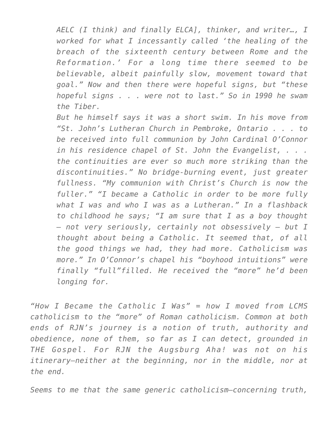*AELC (I think) and finally ELCA], thinker, and writer…, I worked for what I incessantly called 'the healing of the breach of the sixteenth century between Rome and the Reformation.' For a long time there seemed to be believable, albeit painfully slow, movement toward that goal." Now and then there were hopeful signs, but "these hopeful signs . . . were not to last." So in 1990 he swam the Tiber.*

*But he himself says it was a short swim. In his move from "St. John's Lutheran Church in Pembroke, Ontario . . . to be received into full communion by John Cardinal O'Connor in his residence chapel of St. John the Evangelist, . . . the continuities are ever so much more striking than the discontinuities." No bridge-burning event, just greater fullness. "My communion with Christ's Church is now the fuller." "I became a Catholic in order to be more fully what I was and who I was as a Lutheran." In a flashback to childhood he says; "I am sure that I as a boy thought — not very seriously, certainly not obsessively — but I thought about being a Catholic. It seemed that, of all the good things we had, they had more. Catholicism was more." In O'Connor's chapel his "boyhood intuitions" were finally "full"filled. He received the "more" he'd been longing for.*

*"How I Became the Catholic I Was" = how I moved from LCMS catholicism to the "more" of Roman catholicism. Common at both ends of RJN's journey is a notion of truth, authority and obedience, none of them, so far as I can detect, grounded in THE Gospel. For RJN the Augsburg Aha! was not on his itinerary–neither at the beginning, nor in the middle, nor at the end.*

*Seems to me that the same generic catholicism–concerning truth,*